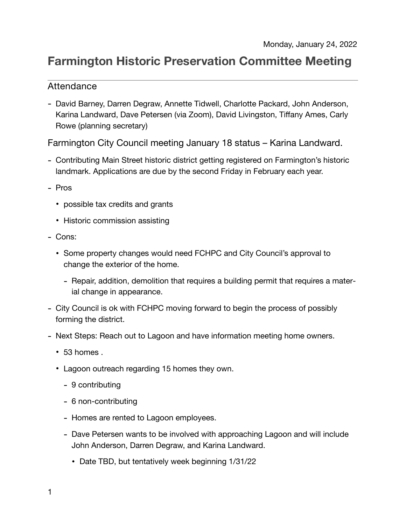# **Farmington Historic Preservation Committee Meeting**

## Attendance

- David Barney, Darren Degraw, Annette Tidwell, Charlotte Packard, John Anderson, Karina Landward, Dave Petersen (via Zoom), David Livingston, Tiffany Ames, Carly Rowe (planning secretary)

Farmington City Council meeting January 18 status – Karina Landward.

- Contributing Main Street historic district getting registered on Farmington's historic landmark. Applications are due by the second Friday in February each year.
- Pros
	- possible tax credits and grants
	- Historic commission assisting
- Cons:
	- Some property changes would need FCHPC and City Council's approval to change the exterior of the home.
		- Repair, addition, demolition that requires a building permit that requires a material change in appearance.
- City Council is ok with FCHPC moving forward to begin the process of possibly forming the district.
- Next Steps: Reach out to Lagoon and have information meeting home owners.
	- 53 homes .
	- Lagoon outreach regarding 15 homes they own.
		- 9 contributing
		- 6 non-contributing
		- Homes are rented to Lagoon employees.
		- Dave Petersen wants to be involved with approaching Lagoon and will include John Anderson, Darren Degraw, and Karina Landward.
			- Date TBD, but tentatively week beginning 1/31/22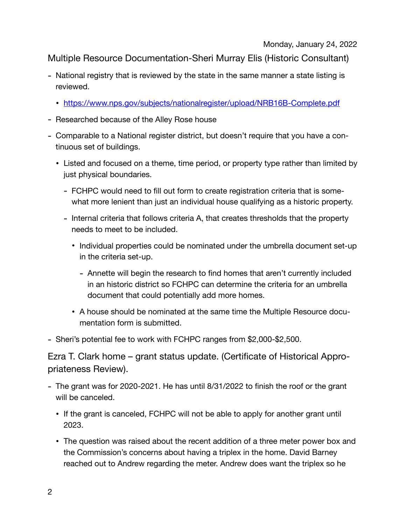# Multiple Resource Documentation-Sheri Murray Elis (Historic Consultant)

- National registry that is reviewed by the state in the same manner a state listing is reviewed.
	- <https://www.nps.gov/subjects/nationalregister/upload/NRB16B-Complete.pdf>
- Researched because of the Alley Rose house
- Comparable to a National register district, but doesn't require that you have a continuous set of buildings.
	- Listed and focused on a theme, time period, or property type rather than limited by just physical boundaries.
		- FCHPC would need to fill out form to create registration criteria that is somewhat more lenient than just an individual house qualifying as a historic property.
		- Internal criteria that follows criteria A, that creates thresholds that the property needs to meet to be included.
			- Individual properties could be nominated under the umbrella document set-up in the criteria set-up.
				- Annette will begin the research to find homes that aren't currently included in an historic district so FCHPC can determine the criteria for an umbrella document that could potentially add more homes.
			- A house should be nominated at the same time the Multiple Resource documentation form is submitted.

- Sheri's potential fee to work with FCHPC ranges from \$2,000-\$2,500.

Ezra T. Clark home – grant status update. (Certificate of Historical Appropriateness Review).

- The grant was for 2020-2021. He has until 8/31/2022 to finish the roof or the grant will be canceled.
	- If the grant is canceled, FCHPC will not be able to apply for another grant until 2023.
	- The question was raised about the recent addition of a three meter power box and the Commission's concerns about having a triplex in the home. David Barney reached out to Andrew regarding the meter. Andrew does want the triplex so he